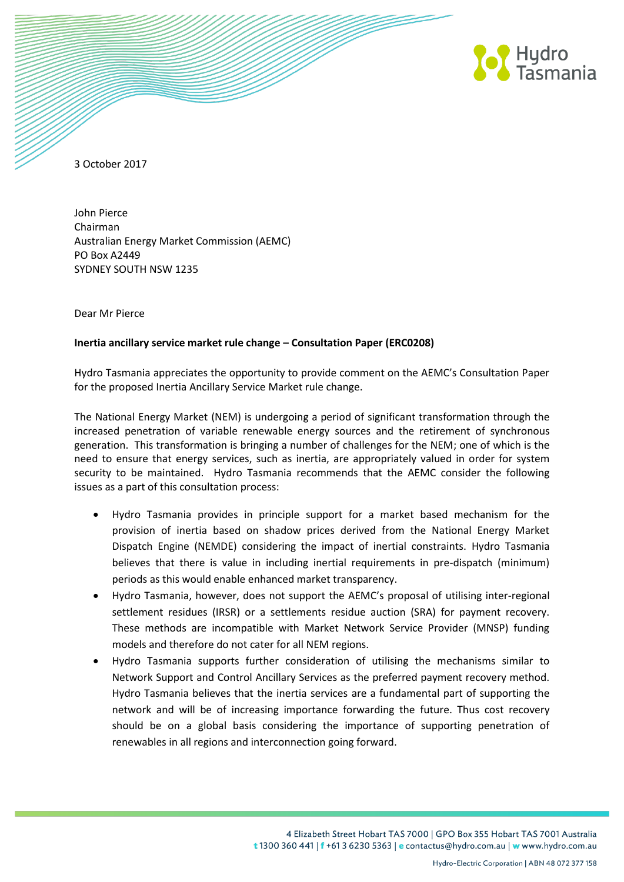

3 October 2017

John Pierce Chairman Australian Energy Market Commission (AEMC) PO Box A2449 SYDNEY SOUTH NSW 1235

Dear Mr Pierce

## **Inertia ancillary service market rule change – Consultation Paper (ERC0208)**

Hydro Tasmania appreciates the opportunity to provide comment on the AEMC's Consultation Paper for the proposed Inertia Ancillary Service Market rule change.

The National Energy Market (NEM) is undergoing a period of significant transformation through the increased penetration of variable renewable energy sources and the retirement of synchronous generation. This transformation is bringing a number of challenges for the NEM; one of which is the need to ensure that energy services, such as inertia, are appropriately valued in order for system security to be maintained. Hydro Tasmania recommends that the AEMC consider the following issues as a part of this consultation process:

- Hydro Tasmania provides in principle support for a market based mechanism for the provision of inertia based on shadow prices derived from the National Energy Market Dispatch Engine (NEMDE) considering the impact of inertial constraints. Hydro Tasmania believes that there is value in including inertial requirements in pre-dispatch (minimum) periods as this would enable enhanced market transparency.
- Hydro Tasmania, however, does not support the AEMC's proposal of utilising inter-regional settlement residues (IRSR) or a settlements residue auction (SRA) for payment recovery. These methods are incompatible with Market Network Service Provider (MNSP) funding models and therefore do not cater for all NEM regions.
- Hydro Tasmania supports further consideration of utilising the mechanisms similar to Network Support and Control Ancillary Services as the preferred payment recovery method. Hydro Tasmania believes that the inertia services are a fundamental part of supporting the network and will be of increasing importance forwarding the future. Thus cost recovery should be on a global basis considering the importance of supporting penetration of renewables in all regions and interconnection going forward.

4 Elizabeth Street Hobart TAS 7000 | GPO Box 355 Hobart TAS 7001 Australia t 1300 360 441 | f +61 3 6230 5363 | e contactus@hydro.com.au | w www.hydro.com.au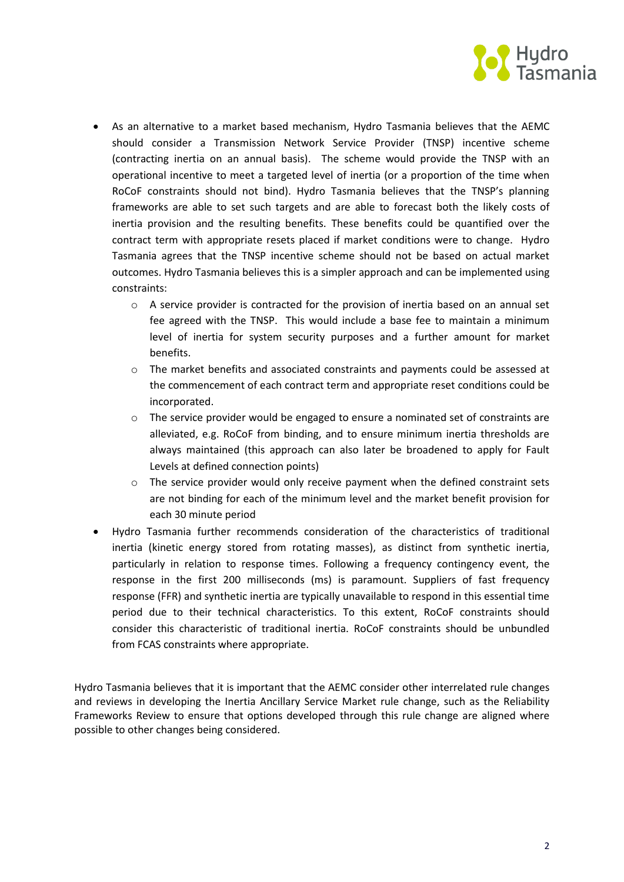

- As an alternative to a market based mechanism, Hydro Tasmania believes that the AEMC should consider a Transmission Network Service Provider (TNSP) incentive scheme (contracting inertia on an annual basis). The scheme would provide the TNSP with an operational incentive to meet a targeted level of inertia (or a proportion of the time when RoCoF constraints should not bind). Hydro Tasmania believes that the TNSP's planning frameworks are able to set such targets and are able to forecast both the likely costs of inertia provision and the resulting benefits. These benefits could be quantified over the contract term with appropriate resets placed if market conditions were to change. Hydro Tasmania agrees that the TNSP incentive scheme should not be based on actual market outcomes. Hydro Tasmania believes this is a simpler approach and can be implemented using constraints:
	- $\circ$  A service provider is contracted for the provision of inertia based on an annual set fee agreed with the TNSP. This would include a base fee to maintain a minimum level of inertia for system security purposes and a further amount for market benefits.
	- o The market benefits and associated constraints and payments could be assessed at the commencement of each contract term and appropriate reset conditions could be incorporated.
	- o The service provider would be engaged to ensure a nominated set of constraints are alleviated, e.g. RoCoF from binding, and to ensure minimum inertia thresholds are always maintained (this approach can also later be broadened to apply for Fault Levels at defined connection points)
	- $\circ$  The service provider would only receive payment when the defined constraint sets are not binding for each of the minimum level and the market benefit provision for each 30 minute period
- Hydro Tasmania further recommends consideration of the characteristics of traditional inertia (kinetic energy stored from rotating masses), as distinct from synthetic inertia, particularly in relation to response times. Following a frequency contingency event, the response in the first 200 milliseconds (ms) is paramount. Suppliers of fast frequency response (FFR) and synthetic inertia are typically unavailable to respond in this essential time period due to their technical characteristics. To this extent, RoCoF constraints should consider this characteristic of traditional inertia. RoCoF constraints should be unbundled from FCAS constraints where appropriate.

Hydro Tasmania believes that it is important that the AEMC consider other interrelated rule changes and reviews in developing the Inertia Ancillary Service Market rule change, such as the Reliability Frameworks Review to ensure that options developed through this rule change are aligned where possible to other changes being considered.